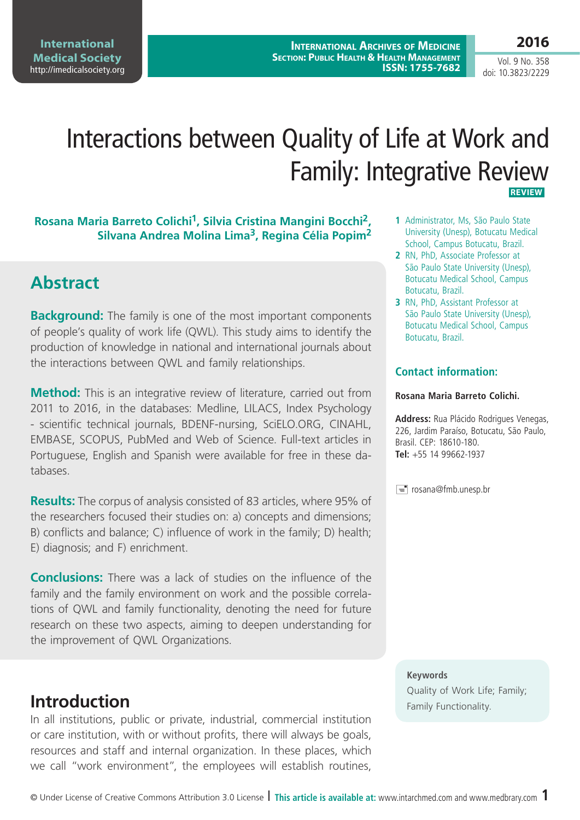**International Medical Society**  <http://imedicalsociety.org>

**International Archives of Medicine Section: Public Health & Health Management ISSN: 1755-7682** **2016**

Vol. 9 No. 358 doi: 10.3823/2229

# Interactions between Quality of Life at Work and Family: Integrative Review  **REVIEW**

### **Rosana Maria Barreto Colichi1, Silvia Cristina Mangini Bocchi2, Silvana Andrea Molina Lima3, Regina Célia Popim2**

## **Abstract**

**Background:** The family is one of the most important components of people's quality of work life (QWL). This study aims to identify the production of knowledge in national and international journals about the interactions between QWL and family relationships.

**Method:** This is an integrative review of literature, carried out from 2011 to 2016, in the databases: Medline, LILACS, Index Psychology - scientific technical journals, BDENF-nursing, SciELO.ORG, CINAHL, EMBASE, SCOPUS, PubMed and Web of Science. Full-text articles in Portuguese, English and Spanish were available for free in these databases.

**Results:** The corpus of analysis consisted of 83 articles, where 95% of the researchers focused their studies on: a) concepts and dimensions; B) conflicts and balance; C) influence of work in the family; D) health; E) diagnosis; and F) enrichment.

**Conclusions:** There was a lack of studies on the influence of the family and the family environment on work and the possible correlations of QWL and family functionality, denoting the need for future research on these two aspects, aiming to deepen understanding for the improvement of QWL Organizations.

## **Introduction**

In all institutions, public or private, industrial, commercial institution or care institution, with or without profits, there will always be goals, resources and staff and internal organization. In these places, which we call "work environment", the employees will establish routines,

- **1** Administrator, Ms, São Paulo State University (Unesp), Botucatu Medical School, Campus Botucatu, Brazil.
- **2** RN, PhD, Associate Professor at São Paulo State University (Unesp), Botucatu Medical School, Campus Botucatu, Brazil.
- **3** RN, PhD, Assistant Professor at São Paulo State University (Unesp), Botucatu Medical School, Campus Botucatu, Brazil.

### **Contact information:**

#### **Rosana Maria Barreto Colichi.**

**Address:** Rua Plácido Rodrigues Venegas, 226, Jardim Paraíso, Botucatu, São Paulo, Brasil. CEP: 18610-180. **Tel:** +55 14 99662-1937

rosana@fmb.unesp.br

#### **Keywords**

Quality of Work Life; Family;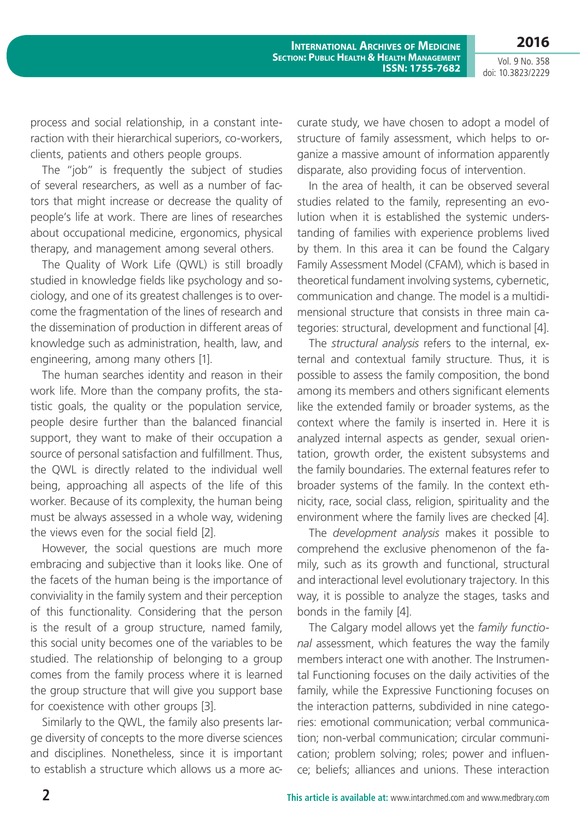**2016** Vol. 9 No. 358

**International Archives of Medicine Section: Public Health & Health Management ISSN: 1755-7682**

doi: 10.3823/2229

process and social relationship, in a constant interaction with their hierarchical superiors, co-workers, clients, patients and others people groups.

The "job" is frequently the subject of studies of several researchers, as well as a number of factors that might increase or decrease the quality of people's life at work. There are lines of researches about occupational medicine, ergonomics, physical therapy, and management among several others.

The Quality of Work Life (QWL) is still broadly studied in knowledge fields like psychology and sociology, and one of its greatest challenges is to overcome the fragmentation of the lines of research and the dissemination of production in different areas of knowledge such as administration, health, law, and engineering, among many others [1].

The human searches identity and reason in their work life. More than the company profits, the statistic goals, the quality or the population service, people desire further than the balanced financial support, they want to make of their occupation a source of personal satisfaction and fulfillment. Thus, the QWL is directly related to the individual well being, approaching all aspects of the life of this worker. Because of its complexity, the human being must be always assessed in a whole way, widening the views even for the social field [2].

However, the social questions are much more embracing and subjective than it looks like. One of the facets of the human being is the importance of conviviality in the family system and their perception of this functionality. Considering that the person is the result of a group structure, named family, this social unity becomes one of the variables to be studied. The relationship of belonging to a group comes from the family process where it is learned the group structure that will give you support base for coexistence with other groups [3].

Similarly to the QWL, the family also presents large diversity of concepts to the more diverse sciences and disciplines. Nonetheless, since it is important to establish a structure which allows us a more accurate study, we have chosen to adopt a model of structure of family assessment, which helps to organize a massive amount of information apparently disparate, also providing focus of intervention.

In the area of health, it can be observed several studies related to the family, representing an evolution when it is established the systemic understanding of families with experience problems lived by them. In this area it can be found the Calgary Family Assessment Model (CFAM), which is based in theoretical fundament involving systems, cybernetic, communication and change. The model is a multidimensional structure that consists in three main categories: structural, development and functional [4].

The *structural analysis* refers to the internal, external and contextual family structure. Thus, it is possible to assess the family composition, the bond among its members and others significant elements like the extended family or broader systems, as the context where the family is inserted in. Here it is analyzed internal aspects as gender, sexual orientation, growth order, the existent subsystems and the family boundaries. The external features refer to broader systems of the family. In the context ethnicity, race, social class, religion, spirituality and the environment where the family lives are checked [4].

The *development analysis* makes it possible to comprehend the exclusive phenomenon of the family, such as its growth and functional, structural and interactional level evolutionary trajectory. In this way, it is possible to analyze the stages, tasks and bonds in the family [4].

The Calgary model allows yet the *family functional* assessment, which features the way the family members interact one with another. The Instrumental Functioning focuses on the daily activities of the family, while the Expressive Functioning focuses on the interaction patterns, subdivided in nine categories: emotional communication; verbal communication; non-verbal communication; circular communication; problem solving; roles; power and influence; beliefs; alliances and unions. These interaction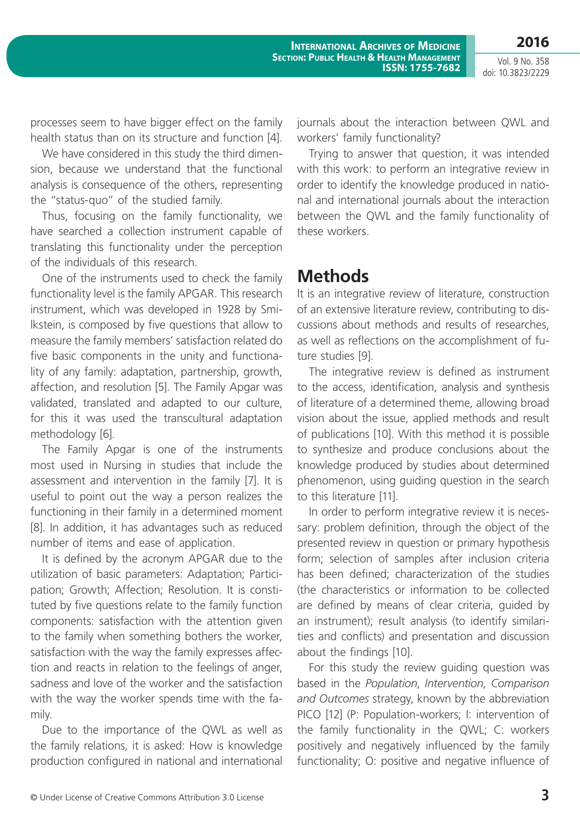processes seem to have bigger effect on the family health status than on its structure and function [4].

We have considered in this study the third dimension, because we understand that the functional analysis is consequence of the others, representing the "status-quo" of the studied family.

Thus, focusing on the family functionality, we have searched a collection instrument capable of translating this functionality under the perception of the individuals of this research.

One of the instruments used to check the family functionality level is the family APGAR. This research instrument, which was developed in 1928 by Smilkstein, is composed by five questions that allow to measure the family members' satisfaction related do five basic components in the unity and functionality of any family: adaptation, partnership, growth, affection, and resolution [5]. The Family Apgar was validated, translated and adapted to our culture, for this it was used the transcultural adaptation methodology [6].

The Family Apgar is one of the instruments most used in Nursing in studies that include the assessment and intervention in the family [7]. It is useful to point out the way a person realizes the functioning in their family in a determined moment [8]. In addition, it has advantages such as reduced number of items and ease of application.

It is defined by the acronym APGAR due to the utilization of basic parameters: Adaptation; Participation; Growth; Affection; Resolution. It is constituted by five questions relate to the family function components: satisfaction with the attention given to the family when something bothers the worker, satisfaction with the way the family expresses affection and reacts in relation to the feelings of anger, sadness and love of the worker and the satisfaction with the way the worker spends time with the family.

Due to the importance of the QWL as well as the family relations, it is asked: How is knowledge production configured in national and international journals about the interaction between QWL and workers' family functionality?

Trying to answer that question, it was intended with this work: to perform an integrative review in order to identify the knowledge produced in national and international journals about the interaction between the QWL and the family functionality of these workers.

## **Methods**

It is an integrative review of literature, construction of an extensive literature review, contributing to discussions about methods and results of researches, as well as reflections on the accomplishment of future studies [9].

The integrative review is defined as instrument to the access, identification, analysis and synthesis of literature of a determined theme, allowing broad vision about the issue, applied methods and result of publications [10]. With this method it is possible to synthesize and produce conclusions about the knowledge produced by studies about determined phenomenon, using guiding question in the search to this literature [11].

In order to perform integrative review it is necessary: problem definition, through the object of the presented review in question or primary hypothesis form; selection of samples after inclusion criteria has been defined; characterization of the studies (the characteristics or information to be collected are defined by means of clear criteria, guided by an instrument); result analysis (to identify similarities and conflicts) and presentation and discussion about the findings [10].

For this study the review guiding question was based in the *Population*, *Intervention*, *Comparison and Outcomes* strategy, known by the abbreviation PICO [12] (P: Population-workers; I: intervention of the family functionality in the QWL; C: workers positively and negatively influenced by the family functionality; O: positive and negative influence of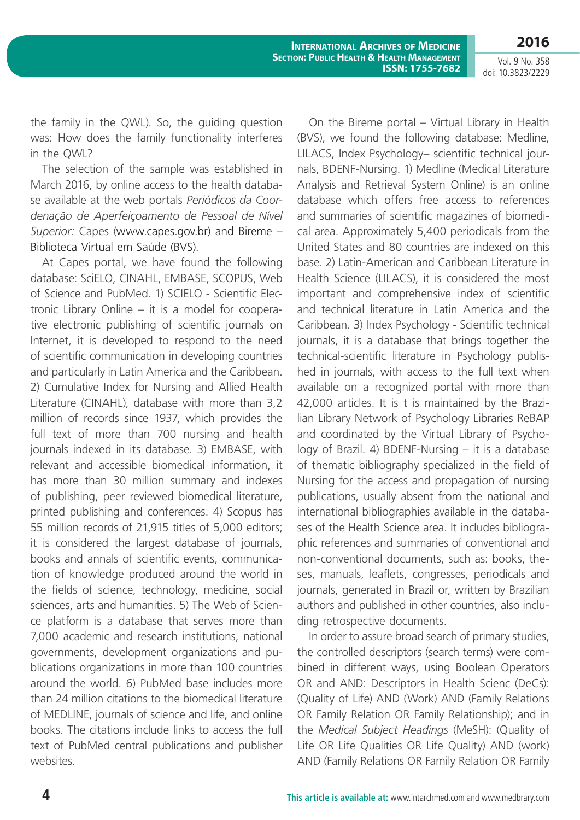**International Archives of Medicine Section: Public Health & Health Management ISSN: 1755-7682**

Vol. 9 No. 358 doi: 10.3823/2229

the family in the QWL). So, the guiding question was: How does the family functionality interferes in the QWL?

The selection of the sample was established in March 2016, by online access to the health database available at the web portals *Periódicos da Coordenação de Aperfeiçoamento de Pessoal de Nível Superior:* Capes ([www.capes.gov.br](http://www.capes.gov.br)) and Bireme – Biblioteca Virtual em Saúde (BVS).

At Capes portal, we have found the following database: SciELO, CINAHL, EMBASE, SCOPUS, Web of Science and PubMed. 1) SCIELO - Scientific Electronic Library Online – it is a model for cooperative electronic publishing of scientific journals on Internet, it is developed to respond to the need of scientific communication in developing countries and particularly in Latin America and the Caribbean. 2) Cumulative Index for Nursing and Allied Health Literature (CINAHL), database with more than 3,2 million of records since 1937, which provides the full text of more than 700 nursing and health journals indexed in its database. 3) EMBASE, with relevant and accessible biomedical information, it has more than 30 million summary and indexes of publishing, peer reviewed biomedical literature, printed publishing and conferences. 4) Scopus has 55 million records of 21,915 titles of 5,000 editors; it is considered the largest database of journals, books and annals of scientific events, communication of knowledge produced around the world in the fields of science, technology, medicine, social sciences, arts and humanities. 5) The Web of Science platform is a database that serves more than 7,000 academic and research institutions, national governments, development organizations and publications organizations in more than 100 countries around the world. 6) PubMed base includes more than 24 million citations to the biomedical literature of MEDLINE, journals of science and life, and online books. The citations include links to access the full text of PubMed central publications and publisher websites.

On the Bireme portal – Virtual Library in Health (BVS), we found the following database: Medline, LILACS, Index Psychology– scientific technical journals, BDENF-Nursing. 1) Medline (Medical Literature Analysis and Retrieval System Online) is an online database which offers free access to references and summaries of scientific magazines of biomedical area. Approximately 5,400 periodicals from the United States and 80 countries are indexed on this base. 2) Latin-American and Caribbean Literature in Health Science (LILACS), it is considered the most important and comprehensive index of scientific and technical literature in Latin America and the Caribbean. 3) Index Psychology - Scientific technical journals, it is a database that brings together the technical-scientific literature in Psychology published in journals, with access to the full text when available on a recognized portal with more than 42,000 articles. It is t is maintained by the Brazilian Library Network of Psychology Libraries ReBAP and coordinated by the Virtual Library of Psychology of Brazil. 4) BDENF-Nursing – it is a database of thematic bibliography specialized in the field of Nursing for the access and propagation of nursing publications, usually absent from the national and international bibliographies available in the databases of the Health Science area. It includes bibliographic references and summaries of conventional and non-conventional documents, such as: books, theses, manuals, leaflets, congresses, periodicals and journals, generated in Brazil or, written by Brazilian authors and published in other countries, also including retrospective documents.

In order to assure broad search of primary studies, the controlled descriptors (search terms) were combined in different ways, using Boolean Operators OR and AND: Descriptors in Health Scienc (DeCs): (Quality of Life) AND (Work) AND (Family Relations OR Family Relation OR Family Relationship); and in the *Medical Subject Headings* (MeSH): (Quality of Life OR Life Qualities OR Life Quality) AND (work) AND (Family Relations OR Family Relation OR Family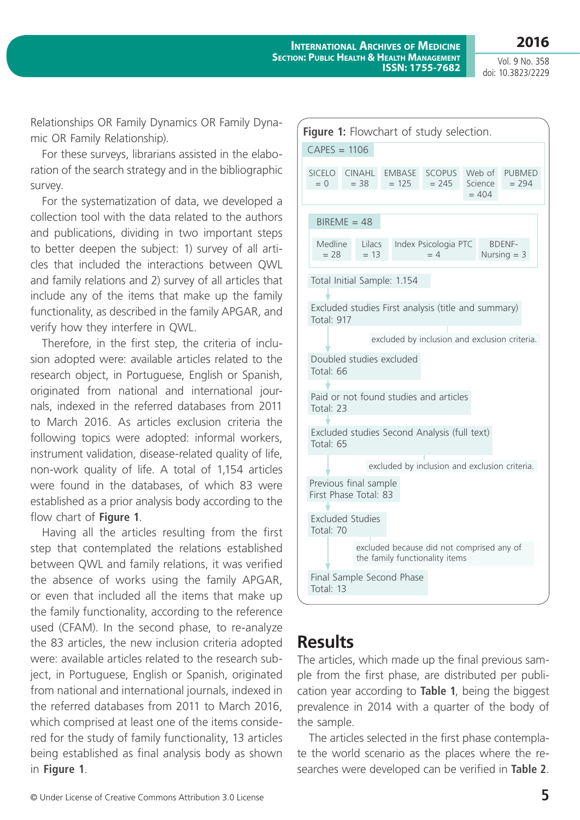Vol. 9 No. 358 doi: 10.3823/2229

Relationships OR Family Dynamics OR Family Dynamic OR Family Relationship).

For these surveys, librarians assisted in the elaboration of the search strategy and in the bibliographic survey.

For the systematization of data, we developed a collection tool with the data related to the authors and publications, dividing in two important steps to better deepen the subject: 1) survey of all articles that included the interactions between QWL and family relations and 2) survey of all articles that include any of the items that make up the family functionality, as described in the family APGAR, and verify how they interfere in QWL.

Therefore, in the first step, the criteria of inclusion adopted were: available articles related to the research object, in Portuguese, English or Spanish, originated from national and international journals, indexed in the referred databases from 2011 to March 2016. As articles exclusion criteria the following topics were adopted: informal workers, instrument validation, disease-related quality of life, non-work quality of life. A total of 1,154 articles were found in the databases, of which 83 were established as a prior analysis body according to the flow chart of **Figure 1**.

Having all the articles resulting from the first step that contemplated the relations established between QWL and family relations, it was verified the absence of works using the family APGAR, or even that included all the items that make up the family functionality, according to the reference used (CFAM). In the second phase, to re-analyze the 83 articles, the new inclusion criteria adopted were: available articles related to the research subject, in Portuguese, English or Spanish, originated from national and international journals, indexed in the referred databases from 2011 to March 2016, which comprised at least one of the items considered for the study of family functionality, 13 articles being established as final analysis body as shown in **Figure 1**.



### **Results**

The articles, which made up the final previous sample from the first phase, are distributed per publication year according to **Table 1**, being the biggest prevalence in 2014 with a quarter of the body of the sample.

The articles selected in the first phase contemplate the world scenario as the places where the researches were developed can be verified in **Table 2**.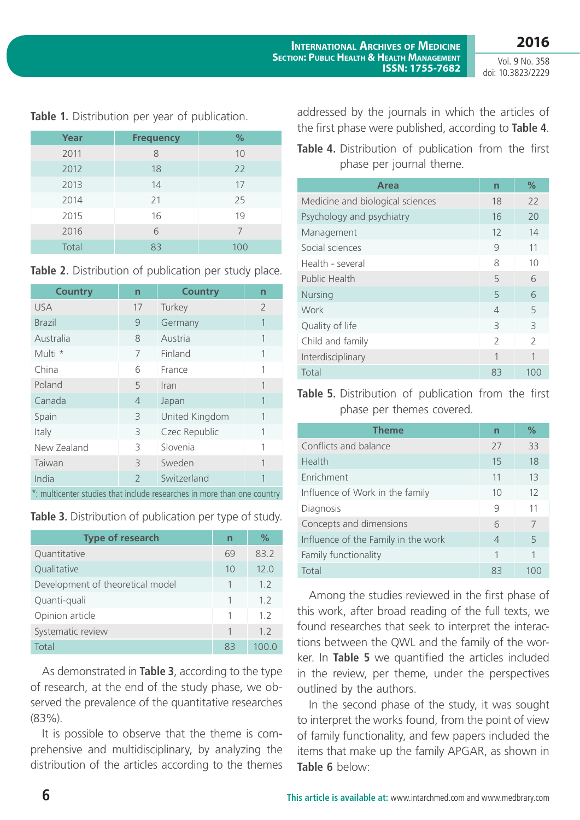| Year  | <b>Frequency</b> | %   |
|-------|------------------|-----|
| 2011  | 8                | 10  |
| 2012  | 18               | 22  |
| 2013  | 14               | 17  |
| 2014  | 21               | 25  |
| 2015  | 16               | 19  |
| 2016  | 6                | 7   |
| Total | 83               | 100 |

#### **Table 1.** Distribution per year of publication.

| Table 2. Distribution of publication per study place. |  |  |
|-------------------------------------------------------|--|--|
|-------------------------------------------------------|--|--|

| <b>Country</b> | $\overline{n}$ | <b>Country</b> | $\overline{n}$ |
|----------------|----------------|----------------|----------------|
| <b>USA</b>     | 17             | Turkey         | $\overline{2}$ |
| <b>Brazil</b>  | 9              | Germany        | 1              |
| Australia      | 8              | Austria        |                |
| Multi *        | 7              | Finland        |                |
| China          | 6              | France         | 1              |
| Poland         | 5              | Iran           | 1              |
| Canada         | $\overline{4}$ | Japan          | 1              |
| Spain          | 3              | United Kingdom |                |
| Italy          | 3              | Czec Republic  | 1              |
| New Zealand    | 3              | Slovenia       | 1              |
| Taiwan         | 3              | Sweden         | 1              |
| India          | $\overline{2}$ | Switzerland    |                |
|                |                |                |                |

\*: multicenter studies that include researches in more than one country

|  | Table 3. Distribution of publication per type of study. |
|--|---------------------------------------------------------|
|--|---------------------------------------------------------|

| <b>Type of research</b>          | n  | $\%$ |
|----------------------------------|----|------|
| Quantitative                     | 69 | 83.2 |
| Qualitative                      | 10 | 12.0 |
| Development of theoretical model |    | 1.2  |
| Quanti-quali                     | 1  | 1.2  |
| Opinion article                  | 1  | 1 2  |
| Systematic review                |    | 12   |
| Total                            | 83 |      |

As demonstrated in **Table 3**, according to the type of research, at the end of the study phase, we observed the prevalence of the quantitative researches (83%).

It is possible to observe that the theme is comprehensive and multidisciplinary, by analyzing the distribution of the articles according to the themes addressed by the journals in which the articles of the first phase were published, according to **Table 4**.

| Table 4. Distribution of publication from the first |  |  |  |
|-----------------------------------------------------|--|--|--|
| phase per journal theme.                            |  |  |  |

| Area                             | $\overline{\mathsf{n}}$ | $\%$          |
|----------------------------------|-------------------------|---------------|
| Medicine and biological sciences | 18                      | 22            |
| Psychology and psychiatry        | 16                      | 20            |
| Management                       | 12                      | 14            |
| Social sciences                  | 9                       | 11            |
| Health - several                 | 8                       | 10            |
| Public Health                    | 5                       | 6             |
| <b>Nursing</b>                   | 5                       | 6             |
| Work                             | $\overline{4}$          | 5             |
| Quality of life                  | 3                       | 3             |
| Child and family                 | $\mathcal{L}$           | $\mathcal{P}$ |
| Interdisciplinary                | 1                       | 1             |
| Total                            | 83                      | 100           |

**Table 5.** Distribution of publication from the first phase per themes covered.

| <b>Theme</b>                        | $\overline{n}$ | %  |
|-------------------------------------|----------------|----|
| Conflicts and balance               | 27             | 33 |
| Health                              | 15             | 18 |
| Enrichment                          | 11             | 13 |
| Influence of Work in the family     | 10             | 12 |
| Diagnosis                           | 9              | 11 |
| Concepts and dimensions             | 6              | 7  |
| Influence of the Family in the work | 4              | 5  |
| Family functionality                |                | 1  |
| Total                               | 83             |    |

Among the studies reviewed in the first phase of this work, after broad reading of the full texts, we found researches that seek to interpret the interactions between the QWL and the family of the worker. In **Table 5** we quantified the articles included in the review, per theme, under the perspectives outlined by the authors.

In the second phase of the study, it was sought to interpret the works found, from the point of view of family functionality, and few papers included the items that make up the family APGAR, as shown in **Table 6** below: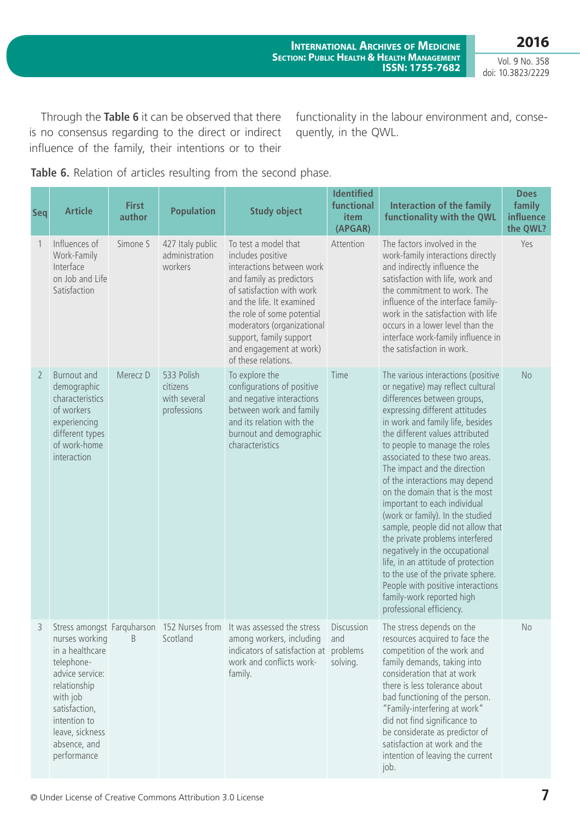**International Archives of Medicine Section: Public Health & Health Management ISSN: 1755-7682**

Vol. 9 No. 358 doi: 10.3823/2229

**2016**

Through the **Table 6** it can be observed that there is no consensus regarding to the direct or indirect influence of the family, their intentions or to their

functionality in the labour environment and, consequently, in the QWL.

**Table 6.** Relation of articles resulting from the second phase.

| <b>Seq</b>     | <b>Article</b>                                                                                                                                                                    | <b>First</b><br>author | <b>Population</b>                                     | <b>Study object</b>                                                                                                                                                                                                                                                                                   | <b>Identified</b><br>functional<br>item<br>(APGAR) | <b>Interaction of the family</b><br>functionality with the QWL                                                                                                                                                                                                                                                                                                                                                                                                                                                                                                                                                                                                                                                                                | <b>Does</b><br>family<br>influence<br>the QWL? |
|----------------|-----------------------------------------------------------------------------------------------------------------------------------------------------------------------------------|------------------------|-------------------------------------------------------|-------------------------------------------------------------------------------------------------------------------------------------------------------------------------------------------------------------------------------------------------------------------------------------------------------|----------------------------------------------------|-----------------------------------------------------------------------------------------------------------------------------------------------------------------------------------------------------------------------------------------------------------------------------------------------------------------------------------------------------------------------------------------------------------------------------------------------------------------------------------------------------------------------------------------------------------------------------------------------------------------------------------------------------------------------------------------------------------------------------------------------|------------------------------------------------|
|                | Influences of<br>Work-Family<br>Interface<br>on Job and Life<br>Satisfaction                                                                                                      | Simone S               | 427 Italy public<br>administration<br>workers         | To test a model that<br>includes positive<br>interactions between work<br>and family as predictors<br>of satisfaction with work<br>and the life. It examined<br>the role of some potential<br>moderators (organizational<br>support, family support<br>and engagement at work)<br>of these relations. | Attention                                          | The factors involved in the<br>work-family interactions directly<br>and indirectly influence the<br>satisfaction with life, work and<br>the commitment to work. The<br>influence of the interface family-<br>work in the satisfaction with life<br>occurs in a lower level than the<br>interface work-family influence in<br>the satisfaction in work.                                                                                                                                                                                                                                                                                                                                                                                        | Yes                                            |
| $\overline{2}$ | <b>Burnout and</b><br>demographic<br>characteristics<br>of workers<br>experiencing<br>different types<br>of work-home<br>interaction                                              | Merecz D               | 533 Polish<br>citizens<br>with several<br>professions | To explore the<br>configurations of positive<br>and negative interactions<br>between work and family<br>and its relation with the<br>burnout and demographic<br>characteristics                                                                                                                       | Time                                               | The various interactions (positive<br>or negative) may reflect cultural<br>differences between groups,<br>expressing different attitudes<br>in work and family life, besides<br>the different values attributed<br>to people to manage the roles<br>associated to these two areas.<br>The impact and the direction<br>of the interactions may depend<br>on the domain that is the most<br>important to each individual<br>(work or family). In the studied<br>sample, people did not allow that<br>the private problems interfered<br>negatively in the occupational<br>life, in an attitude of protection<br>to the use of the private sphere.<br>People with positive interactions<br>family-work reported high<br>professional efficiency. | <b>No</b>                                      |
| 3              | nurses working<br>in a healthcare<br>telephone-<br>advice service:<br>relationship<br>with job<br>satisfaction,<br>intention to<br>leave, sickness<br>absence, and<br>performance | <sub>B</sub>           | Scotland                                              | Stress amongst Farquharson 152 Nurses from It was assessed the stress<br>among workers, including<br>indicators of satisfaction at problems<br>work and conflicts work-<br>family.                                                                                                                    | Discussion<br>and<br>solving.                      | The stress depends on the<br>resources acquired to face the<br>competition of the work and<br>family demands, taking into<br>consideration that at work<br>there is less tolerance about<br>bad functioning of the person.<br>"Family-interfering at work"<br>did not find significance to<br>be considerate as predictor of<br>satisfaction at work and the<br>intention of leaving the current<br>job.                                                                                                                                                                                                                                                                                                                                      | No                                             |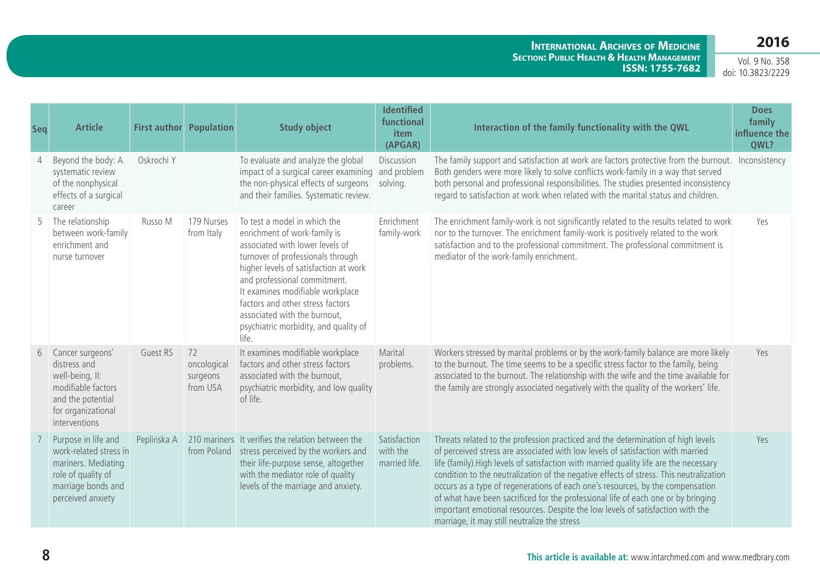**International Archives of Medicine Section: Public Health & Health Management ISSN: 1755-7682**

| Seq | <b>Article</b>                                                                                                                        |             | <b>First author Population</b>            | <b>Study object</b>                                                                                                                                                                                                                                                                                                                                                     | <b>Identified</b><br>functional<br>item<br>(APGAR) | Interaction of the family functionality with the QWL                                                                                                                                                                                                                                                                                                                                                                                                                                                                                                                                                                                                             | <b>Does</b><br>family<br>influence the<br>QWL? |
|-----|---------------------------------------------------------------------------------------------------------------------------------------|-------------|-------------------------------------------|-------------------------------------------------------------------------------------------------------------------------------------------------------------------------------------------------------------------------------------------------------------------------------------------------------------------------------------------------------------------------|----------------------------------------------------|------------------------------------------------------------------------------------------------------------------------------------------------------------------------------------------------------------------------------------------------------------------------------------------------------------------------------------------------------------------------------------------------------------------------------------------------------------------------------------------------------------------------------------------------------------------------------------------------------------------------------------------------------------------|------------------------------------------------|
| 4   | Beyond the body: A<br>systematic review<br>of the nonphysical<br>effects of a surgical<br>career                                      | Oskrochi Y  |                                           | To evaluate and analyze the global<br>impact of a surgical career examining<br>the non-physical effects of surgeons<br>and their families. Systematic review.                                                                                                                                                                                                           | Discussion<br>and problem<br>solving.              | The family support and satisfaction at work are factors protective from the burnout. Inconsistency<br>Both genders were more likely to solve conflicts work-family in a way that served<br>both personal and professional responsibilities. The studies presented inconsistency<br>regard to satisfaction at work when related with the marital status and children.                                                                                                                                                                                                                                                                                             |                                                |
| 5   | The relationship<br>between work-family<br>enrichment and<br>nurse turnover                                                           | Russo M     | 179 Nurses<br>from Italy                  | To test a model in which the<br>enrichment of work-family is<br>associated with lower levels of<br>turnover of professionals through<br>higher levels of satisfaction at work<br>and professional commitment.<br>It examines modifiable workplace<br>factors and other stress factors<br>associated with the burnout,<br>psychiatric morbidity, and quality of<br>life. | Enrichment<br>family-work                          | The enrichment family-work is not significantly related to the results related to work<br>nor to the turnover. The enrichment family-work is positively related to the work<br>satisfaction and to the professional commitment. The professional commitment is<br>mediator of the work-family enrichment.                                                                                                                                                                                                                                                                                                                                                        | Yes                                            |
| 6   | Cancer surgeons'<br>distress and<br>well-being, II:<br>modifiable factors<br>and the potential<br>for organizational<br>interventions | Guest RS    | 72<br>oncological<br>surgeons<br>from USA | It examines modifiable workplace<br>factors and other stress factors<br>associated with the burnout,<br>psychiatric morbidity, and low quality<br>of life.                                                                                                                                                                                                              | Marital<br>problems.                               | Workers stressed by marital problems or by the work-family balance are more likely<br>to the burnout. The time seems to be a specific stress factor to the family, being<br>associated to the burnout. The relationship with the wife and the time available for<br>the family are strongly associated negatively with the quality of the workers' life.                                                                                                                                                                                                                                                                                                         | Yes                                            |
|     | Purpose in life and<br>work-related stress in<br>mariners. Mediating<br>role of quality of<br>marriage bonds and<br>perceived anxiety | Peplińska A | from Poland                               | 210 mariners It verifies the relation between the<br>stress perceived by the workers and<br>their life-purpose sense, altogether<br>with the mediator role of quality<br>levels of the marriage and anxiety.                                                                                                                                                            | Satisfaction<br>with the<br>married life.          | Threats related to the profession practiced and the determination of high levels<br>of perceived stress are associated with low levels of satisfaction with married<br>life (family). High levels of satisfaction with married quality life are the necessary<br>condition to the neutralization of the negative effects of stress. This neutralization<br>occurs as a type of regenerations of each one's resources, by the compensation<br>of what have been sacrificed for the professional life of each one or by bringing<br>important emotional resources. Despite the low levels of satisfaction with the<br>marriage, it may still neutralize the stress | Yes                                            |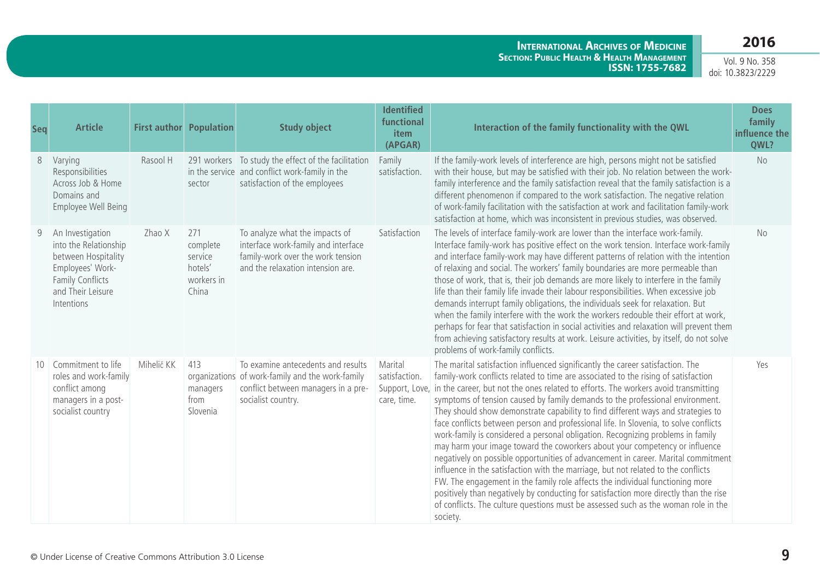#### **International Archives of Medicine Section: Public Health & Health Management ISSN: 1755-7682**

| Seq   | <b>Article</b>                                                                                                                              | <b>First author Population</b> |                                                              | <b>Study object</b>                                                                                                                                 | <b>Identified</b><br>functional<br>item<br>(APGAR)        | Interaction of the family functionality with the QWL                                                                                                                                                                                                                                                                                                                                                                                                                                                                                                                                                                                                                                                                                                                                                                                                                                                                                                                                                                                                                                                                                            | <b>Does</b><br>family<br>influence the<br>QWL? |
|-------|---------------------------------------------------------------------------------------------------------------------------------------------|--------------------------------|--------------------------------------------------------------|-----------------------------------------------------------------------------------------------------------------------------------------------------|-----------------------------------------------------------|-------------------------------------------------------------------------------------------------------------------------------------------------------------------------------------------------------------------------------------------------------------------------------------------------------------------------------------------------------------------------------------------------------------------------------------------------------------------------------------------------------------------------------------------------------------------------------------------------------------------------------------------------------------------------------------------------------------------------------------------------------------------------------------------------------------------------------------------------------------------------------------------------------------------------------------------------------------------------------------------------------------------------------------------------------------------------------------------------------------------------------------------------|------------------------------------------------|
| $8\,$ | Varying<br>Responsibilities<br>Across Job & Home<br>Domains and<br>Employee Well Being                                                      | Rasool H                       | sector                                                       | 291 workers To study the effect of the facilitation<br>in the service and conflict work-family in the<br>satisfaction of the employees              | Family<br>satisfaction.                                   | If the family-work levels of interference are high, persons might not be satisfied<br>with their house, but may be satisfied with their job. No relation between the work-<br>family interference and the family satisfaction reveal that the family satisfaction is a<br>different phenomenon if compared to the work satisfaction. The negative relation<br>of work-family facilitation with the satisfaction at work and facilitation family-work<br>satisfaction at home, which was inconsistent in previous studies, was observed.                                                                                                                                                                                                                                                                                                                                                                                                                                                                                                                                                                                                         | <b>No</b>                                      |
| 9     | An Investigation<br>into the Relationship<br>between Hospitality<br>Employees' Work-<br>Family Conflicts<br>and Their Leisure<br>Intentions | Zhao X                         | 271<br>complete<br>service<br>hotels'<br>workers in<br>China | To analyze what the impacts of<br>interface work-family and interface<br>family-work over the work tension<br>and the relaxation intension are.     | Satisfaction                                              | The levels of interface family-work are lower than the interface work-family.<br>Interface family-work has positive effect on the work tension. Interface work-family<br>and interface family-work may have different patterns of relation with the intention<br>of relaxing and social. The workers' family boundaries are more permeable than<br>those of work, that is, their job demands are more likely to interfere in the family<br>life than their family life invade their labour responsibilities. When excessive job<br>demands interrupt family obligations, the individuals seek for relaxation. But<br>when the family interfere with the work the workers redouble their effort at work,<br>perhaps for fear that satisfaction in social activities and relaxation will prevent them<br>from achieving satisfactory results at work. Leisure activities, by itself, do not solve<br>problems of work-family conflicts.                                                                                                                                                                                                           | No                                             |
|       | Commitment to life<br>roles and work-family<br>conflict among<br>managers in a post-<br>socialist country                                   | Mihelič KK                     | 413<br>managers<br>from<br>Slovenia                          | To examine antecedents and results<br>organizations of work-family and the work-family<br>conflict between managers in a pre-<br>socialist country. | Marital<br>satisfaction.<br>Support, Love,<br>care, time. | The marital satisfaction influenced significantly the career satisfaction. The<br>family-work conflicts related to time are associated to the rising of satisfaction<br>in the career, but not the ones related to efforts. The workers avoid transmitting<br>symptoms of tension caused by family demands to the professional environment.<br>They should show demonstrate capability to find different ways and strategies to<br>face conflicts between person and professional life. In Slovenia, to solve conflicts<br>work-family is considered a personal obligation. Recognizing problems in family<br>may harm your image toward the coworkers about your competency or influence<br>negatively on possible opportunities of advancement in career. Marital commitment<br>influence in the satisfaction with the marriage, but not related to the conflicts<br>FW. The engagement in the family role affects the individual functioning more<br>positively than negatively by conducting for satisfaction more directly than the rise<br>of conflicts. The culture questions must be assessed such as the woman role in the<br>society. | Yes                                            |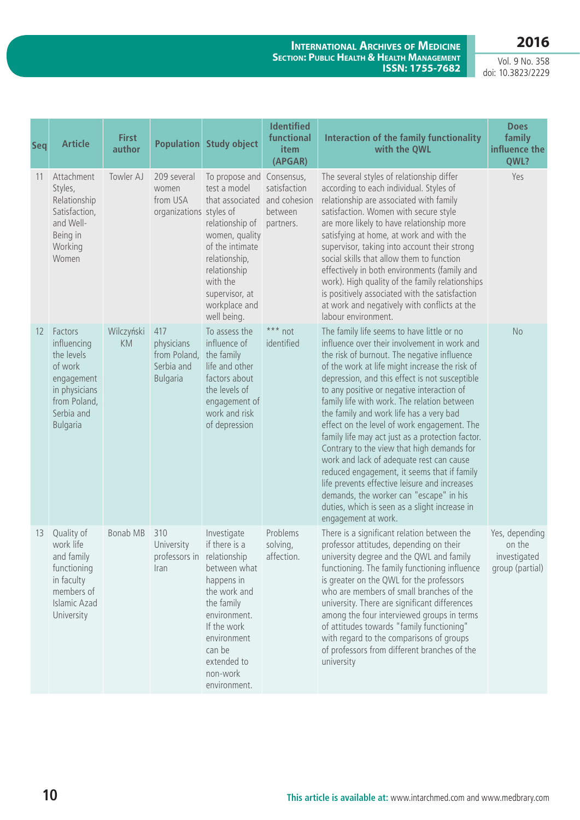**International Archives of Medicine Section: Public Health & Health Management ISSN: 1755-7682**

| <b>Seq</b> | <b>Article</b>                                                                                                                  | <b>First</b><br>author  |                                                                    | <b>Population Study object</b>                                                                                                                                                                                      | <b>Identified</b><br>functional<br>item<br>(APGAR)   | Interaction of the family functionality<br>with the QWL                                                                                                                                                                                                                                                                                                                                                                                                                                                                                                                                                                                                                                                                                                                                               | <b>Does</b><br>family<br>influence the<br>QWL?              |
|------------|---------------------------------------------------------------------------------------------------------------------------------|-------------------------|--------------------------------------------------------------------|---------------------------------------------------------------------------------------------------------------------------------------------------------------------------------------------------------------------|------------------------------------------------------|-------------------------------------------------------------------------------------------------------------------------------------------------------------------------------------------------------------------------------------------------------------------------------------------------------------------------------------------------------------------------------------------------------------------------------------------------------------------------------------------------------------------------------------------------------------------------------------------------------------------------------------------------------------------------------------------------------------------------------------------------------------------------------------------------------|-------------------------------------------------------------|
| 11         | Attachment<br>Styles,<br>Relationship<br>Satisfaction,<br>and Well-<br>Being in<br>Working<br>Women                             | Towler AJ               | 209 several<br>women<br>from USA<br>organizations styles of        | To propose and Consensus,<br>test a model<br>that associated<br>relationship of<br>women, quality<br>of the intimate<br>relationship,<br>relationship<br>with the<br>supervisor, at<br>workplace and<br>well being. | satisfaction<br>and cohesion<br>between<br>partners. | The several styles of relationship differ<br>according to each individual. Styles of<br>relationship are associated with family<br>satisfaction. Women with secure style<br>are more likely to have relationship more<br>satisfying at home, at work and with the<br>supervisor, taking into account their strong<br>social skills that allow them to function<br>effectively in both environments (family and<br>work). High quality of the family relationships<br>is positively associated with the satisfaction<br>at work and negatively with conflicts at the<br>labour environment.                                                                                                                                                                                                            | Yes                                                         |
| 12         | Factors<br>influencing<br>the levels<br>of work<br>engagement<br>in physicians<br>from Poland,<br>Serbia and<br><b>Bulgaria</b> | Wilczyński<br><b>KM</b> | 417<br>physicians<br>from Poland,<br>Serbia and<br><b>Bulgaria</b> | To assess the<br>influence of<br>the family<br>life and other<br>factors about<br>the levels of<br>engagement of<br>work and risk<br>of depression                                                                  | *** not<br>identified                                | The family life seems to have little or no<br>influence over their involvement in work and<br>the risk of burnout. The negative influence<br>of the work at life might increase the risk of<br>depression, and this effect is not susceptible<br>to any positive or negative interaction of<br>family life with work. The relation between<br>the family and work life has a very bad<br>effect on the level of work engagement. The<br>family life may act just as a protection factor.<br>Contrary to the view that high demands for<br>work and lack of adequate rest can cause<br>reduced engagement, it seems that if family<br>life prevents effective leisure and increases<br>demands, the worker can "escape" in his<br>duties, which is seen as a slight increase in<br>engagement at work. | <b>No</b>                                                   |
| 13         | Quality of<br>work life<br>and family<br>functioning<br>in faculty<br>members of<br><b>Islamic Azad</b><br>University           | <b>Bonab MB</b>         | 310<br>University<br>professors in relationship<br>Iran            | Investigate<br>if there is a<br>between what<br>happens in<br>the work and<br>the family<br>environment.<br>If the work<br>environment<br>can be<br>extended to<br>non-work<br>environment.                         | Problems<br>solving,<br>affection.                   | There is a significant relation between the<br>professor attitudes, depending on their<br>university degree and the QWL and family<br>functioning. The family functioning influence<br>is greater on the QWL for the professors<br>who are members of small branches of the<br>university. There are significant differences<br>among the four interviewed groups in terms<br>of attitudes towards "family functioning"<br>with regard to the comparisons of groups<br>of professors from different branches of the<br>university                                                                                                                                                                                                                                                                     | Yes, depending<br>on the<br>investigated<br>group (partial) |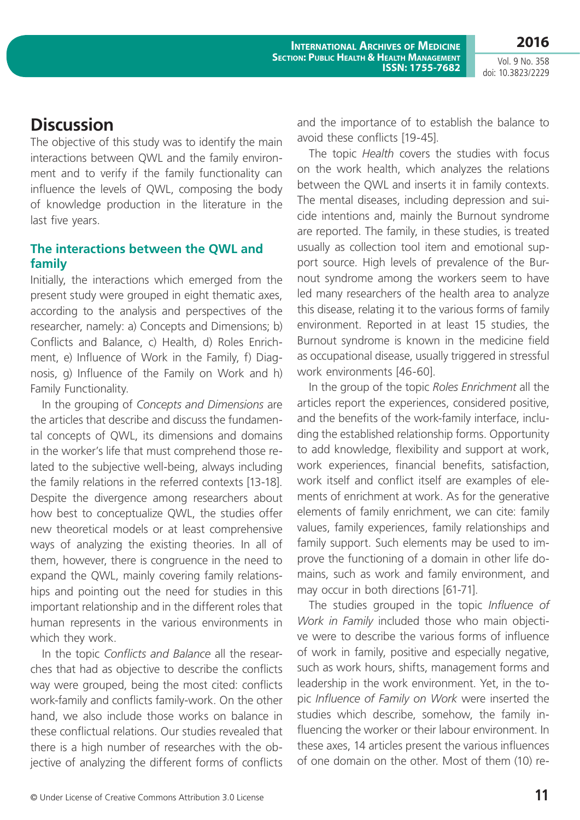Vol. 9 No. 358 doi: 10.3823/2229

## **Discussion**

The objective of this study was to identify the main interactions between QWL and the family environment and to verify if the family functionality can influence the levels of QWL, composing the body of knowledge production in the literature in the last five years.

### **The interactions between the QWL and family**

Initially, the interactions which emerged from the present study were grouped in eight thematic axes, according to the analysis and perspectives of the researcher, namely: a) Concepts and Dimensions; b) Conflicts and Balance, c) Health, d) Roles Enrichment, e) Influence of Work in the Family, f) Diagnosis, g) Influence of the Family on Work and h) Family Functionality.

In the grouping of *Concepts and Dimensions* are the articles that describe and discuss the fundamental concepts of QWL, its dimensions and domains in the worker's life that must comprehend those related to the subjective well-being, always including the family relations in the referred contexts [13-18]. Despite the divergence among researchers about how best to conceptualize QWL, the studies offer new theoretical models or at least comprehensive ways of analyzing the existing theories. In all of them, however, there is congruence in the need to expand the QWL, mainly covering family relationships and pointing out the need for studies in this important relationship and in the different roles that human represents in the various environments in which they work.

In the topic *Conflicts and Balance* all the researches that had as objective to describe the conflicts way were grouped, being the most cited: conflicts work-family and conflicts family-work. On the other hand, we also include those works on balance in these conflictual relations. Our studies revealed that there is a high number of researches with the objective of analyzing the different forms of conflicts and the importance of to establish the balance to avoid these conflicts [19-45].

The topic *Health* covers the studies with focus on the work health, which analyzes the relations between the QWL and inserts it in family contexts. The mental diseases, including depression and suicide intentions and, mainly the Burnout syndrome are reported. The family, in these studies, is treated usually as collection tool item and emotional support source. High levels of prevalence of the Burnout syndrome among the workers seem to have led many researchers of the health area to analyze this disease, relating it to the various forms of family environment. Reported in at least 15 studies, the Burnout syndrome is known in the medicine field as occupational disease, usually triggered in stressful work environments [46-60].

In the group of the topic *Roles Enrichment* all the articles report the experiences, considered positive, and the benefits of the work-family interface, including the established relationship forms. Opportunity to add knowledge, flexibility and support at work, work experiences, financial benefits, satisfaction, work itself and conflict itself are examples of elements of enrichment at work. As for the generative elements of family enrichment, we can cite: family values, family experiences, family relationships and family support. Such elements may be used to improve the functioning of a domain in other life domains, such as work and family environment, and may occur in both directions [61-71].

The studies grouped in the topic *Influence of Work in Family* included those who main objective were to describe the various forms of influence of work in family, positive and especially negative, such as work hours, shifts, management forms and leadership in the work environment. Yet, in the topic *Influence of Family on Work* were inserted the studies which describe, somehow, the family influencing the worker or their labour environment. In these axes, 14 articles present the various influences of one domain on the other. Most of them (10) re-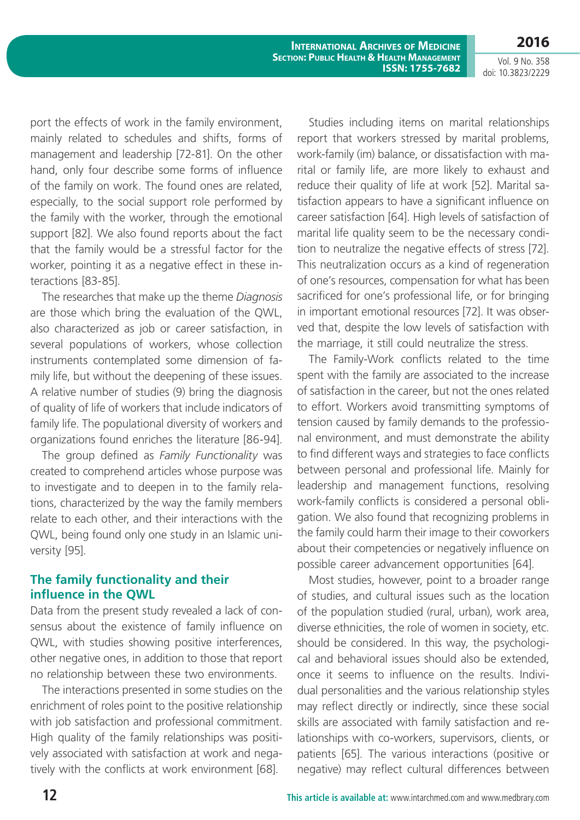**International Archives of Medicine Section: Public Health & Health Management ISSN: 1755-7682**

**2016** Vol. 9 No. 358

doi: 10.3823/2229

port the effects of work in the family environment, mainly related to schedules and shifts, forms of management and leadership [72-81]. On the other hand, only four describe some forms of influence of the family on work. The found ones are related, especially, to the social support role performed by the family with the worker, through the emotional support [82]. We also found reports about the fact that the family would be a stressful factor for the worker, pointing it as a negative effect in these interactions [83-85].

The researches that make up the theme *Diagnosis*  are those which bring the evaluation of the QWL, also characterized as job or career satisfaction, in several populations of workers, whose collection instruments contemplated some dimension of family life, but without the deepening of these issues. A relative number of studies (9) bring the diagnosis of quality of life of workers that include indicators of family life. The populational diversity of workers and organizations found enriches the literature [86-94].

The group defined as *Family Functionality* was created to comprehend articles whose purpose was to investigate and to deepen in to the family relations, characterized by the way the family members relate to each other, and their interactions with the QWL, being found only one study in an Islamic university [95].

### **The family functionality and their influence in the QWL**

Data from the present study revealed a lack of consensus about the existence of family influence on QWL, with studies showing positive interferences, other negative ones, in addition to those that report no relationship between these two environments.

The interactions presented in some studies on the enrichment of roles point to the positive relationship with job satisfaction and professional commitment. High quality of the family relationships was positively associated with satisfaction at work and negatively with the conflicts at work environment [68].

Studies including items on marital relationships report that workers stressed by marital problems, work-family (im) balance, or dissatisfaction with marital or family life, are more likely to exhaust and reduce their quality of life at work [52]. Marital satisfaction appears to have a significant influence on career satisfaction [64]. High levels of satisfaction of marital life quality seem to be the necessary condition to neutralize the negative effects of stress [72]. This neutralization occurs as a kind of regeneration of one's resources, compensation for what has been sacrificed for one's professional life, or for bringing in important emotional resources [72]. It was observed that, despite the low levels of satisfaction with the marriage, it still could neutralize the stress.

The Family-Work conflicts related to the time spent with the family are associated to the increase of satisfaction in the career, but not the ones related to effort. Workers avoid transmitting symptoms of tension caused by family demands to the professional environment, and must demonstrate the ability to find different ways and strategies to face conflicts between personal and professional life. Mainly for leadership and management functions, resolving work-family conflicts is considered a personal obligation. We also found that recognizing problems in the family could harm their image to their coworkers about their competencies or negatively influence on possible career advancement opportunities [64].

Most studies, however, point to a broader range of studies, and cultural issues such as the location of the population studied (rural, urban), work area, diverse ethnicities, the role of women in society, etc. should be considered. In this way, the psychological and behavioral issues should also be extended, once it seems to influence on the results. Individual personalities and the various relationship styles may reflect directly or indirectly, since these social skills are associated with family satisfaction and relationships with co-workers, supervisors, clients, or patients [65]. The various interactions (positive or negative) may reflect cultural differences between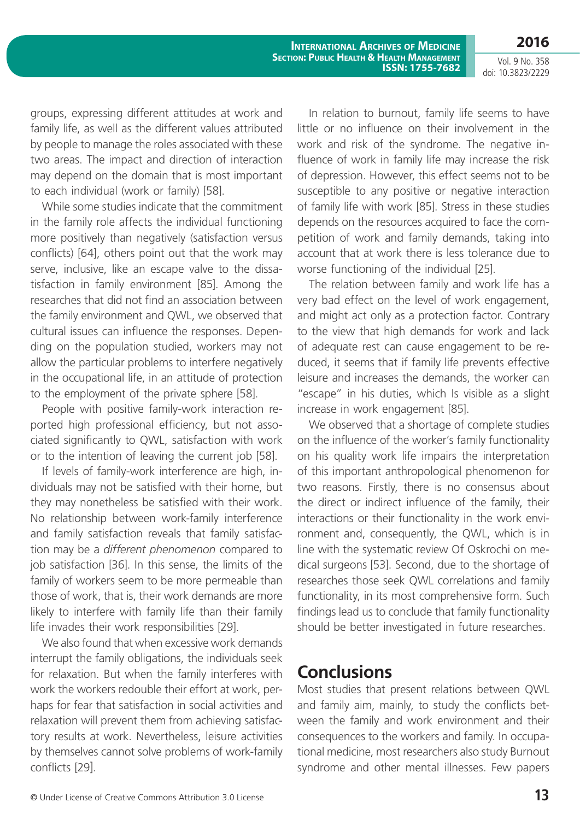Vol. 9 No. 358 doi: 10.3823/2229

groups, expressing different attitudes at work and family life, as well as the different values attributed by people to manage the roles associated with these two areas. The impact and direction of interaction may depend on the domain that is most important to each individual (work or family) [58].

While some studies indicate that the commitment in the family role affects the individual functioning more positively than negatively (satisfaction versus conflicts) [64], others point out that the work may serve, inclusive, like an escape valve to the dissatisfaction in family environment [85]. Among the researches that did not find an association between the family environment and QWL, we observed that cultural issues can influence the responses. Depending on the population studied, workers may not allow the particular problems to interfere negatively in the occupational life, in an attitude of protection to the employment of the private sphere [58].

People with positive family-work interaction reported high professional efficiency, but not associated significantly to QWL, satisfaction with work or to the intention of leaving the current job [58].

If levels of family-work interference are high, individuals may not be satisfied with their home, but they may nonetheless be satisfied with their work. No relationship between work-family interference and family satisfaction reveals that family satisfaction may be a *different phenomenon* compared to job satisfaction [36]. In this sense, the limits of the family of workers seem to be more permeable than those of work, that is, their work demands are more likely to interfere with family life than their family life invades their work responsibilities [29].

We also found that when excessive work demands interrupt the family obligations, the individuals seek for relaxation. But when the family interferes with work the workers redouble their effort at work, perhaps for fear that satisfaction in social activities and relaxation will prevent them from achieving satisfactory results at work. Nevertheless, leisure activities by themselves cannot solve problems of work-family conflicts [29].

In relation to burnout, family life seems to have little or no influence on their involvement in the work and risk of the syndrome. The negative influence of work in family life may increase the risk of depression. However, this effect seems not to be susceptible to any positive or negative interaction of family life with work [85]. Stress in these studies depends on the resources acquired to face the competition of work and family demands, taking into account that at work there is less tolerance due to worse functioning of the individual [25].

The relation between family and work life has a very bad effect on the level of work engagement, and might act only as a protection factor. Contrary to the view that high demands for work and lack of adequate rest can cause engagement to be reduced, it seems that if family life prevents effective leisure and increases the demands, the worker can "escape" in his duties, which Is visible as a slight increase in work engagement [85].

We observed that a shortage of complete studies on the influence of the worker's family functionality on his quality work life impairs the interpretation of this important anthropological phenomenon for two reasons. Firstly, there is no consensus about the direct or indirect influence of the family, their interactions or their functionality in the work environment and, consequently, the QWL, which is in line with the systematic review Of Oskrochi on medical surgeons [53]. Second, due to the shortage of researches those seek QWL correlations and family functionality, in its most comprehensive form. Such findings lead us to conclude that family functionality should be better investigated in future researches.

## **Conclusions**

Most studies that present relations between QWL and family aim, mainly, to study the conflicts between the family and work environment and their consequences to the workers and family. In occupational medicine, most researchers also study Burnout syndrome and other mental illnesses. Few papers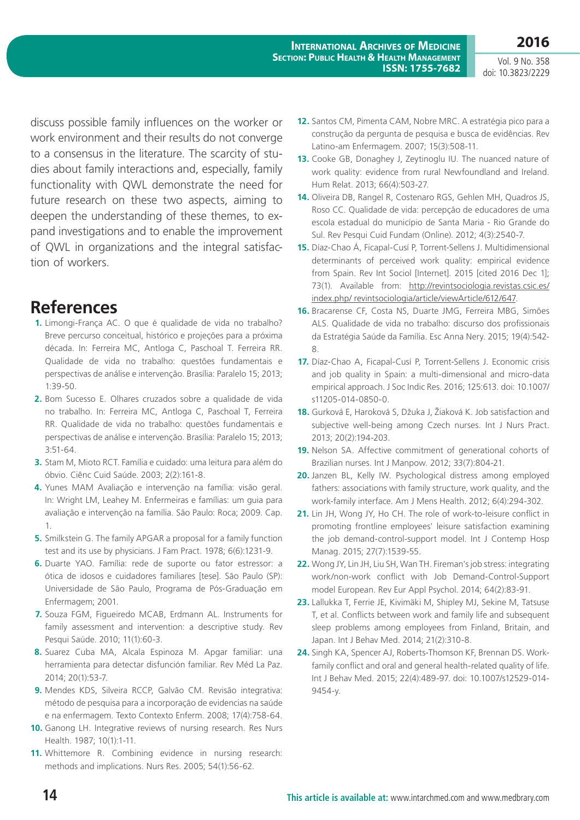**2016** Vol. 9 No. 358

doi: 10.3823/2229

discuss possible family influences on the worker or work environment and their results do not converge to a consensus in the literature. The scarcity of studies about family interactions and, especially, family functionality with QWL demonstrate the need for future research on these two aspects, aiming to deepen the understanding of these themes, to expand investigations and to enable the improvement of QWL in organizations and the integral satisfaction of workers.

## **References**

- **1.** Limongi-França AC. O que é qualidade de vida no trabalho? Breve percurso conceitual, histórico e projeções para a próxima década. In: Ferreira MC, Antloga C, Paschoal T. Ferreira RR. Qualidade de vida no trabalho: questões fundamentais e perspectivas de análise e intervenção. Brasília: Paralelo 15; 2013; 1:39-50.
- **2.** Bom Sucesso E. Olhares cruzados sobre a qualidade de vida no trabalho. In: Ferreira MC, Antloga C, Paschoal T, Ferreira RR. Qualidade de vida no trabalho: questões fundamentais e perspectivas de análise e intervenção. Brasília: Paralelo 15; 2013; 3:51-64.
- **3.** Stam M, Mioto RCT. Família e cuidado: uma leitura para além do óbvio. Ciênc Cuid Saúde. 2003; 2(2):161-8.
- **4.** Yunes MAM Avaliação e intervenção na família: visão geral. In: Wright LM, Leahey M. Enfermeiras e famílias: um guia para avaliação e intervenção na família. São Paulo: Roca; 2009. Cap. 1.
- **5.** Smilkstein G. The family APGAR a proposal for a family function test and its use by physicians. J Fam Pract. 1978; 6(6):1231-9.
- **6.** Duarte YAO. Família: rede de suporte ou fator estressor: a ótica de idosos e cuidadores familiares [tese]. São Paulo (SP): Universidade de São Paulo, Programa de Pós-Graduação em Enfermagem; 2001.
- **7.** Souza FGM, Figueiredo MCAB, Erdmann AL. Instruments for family assessment and intervention: a descriptive study. Rev Pesqui Saúde. 2010; 11(1):60-3.
- **8.** Suarez Cuba MA, Alcala Espinoza M. Apgar familiar: una herramienta para detectar disfunción familiar. Rev Méd La Paz. 2014; 20(1):53-7.
- **9.** Mendes KDS, Silveira RCCP, Galvão CM. Revisão integrativa: método de pesquisa para a incorporação de evidencias na saúde e na enfermagem. Texto Contexto Enferm. 2008; 17(4):758-64.
- **10.** Ganong LH. Integrative reviews of nursing research. Res Nurs Health. 1987; 10(1):1-11.
- **11.** Whittemore R. Combining evidence in nursing research: methods and implications. Nurs Res. 2005; 54(1):56-62.
- **12.** Santos CM, Pimenta CAM, Nobre MRC. A estratégia pico para a construção da pergunta de pesquisa e busca de evidências. Rev Latino-am Enfermagem. 2007; 15(3):508-11.
- **13.** Cooke GB, Donaghey J, Zeytinoglu IU. The nuanced nature of work quality: evidence from rural Newfoundland and Ireland. Hum Relat. 2013; 66(4):503-27.
- **14.** Oliveira DB, Rangel R, Costenaro RGS, Gehlen MH, Quadros JS, Roso CC. Qualidade de vida: percepção de educadores de uma escola estadual do município de Santa Maria - Rio Grande do Sul. Rev Pesqui Cuid Fundam (Online). 2012; 4(3):2540-7.
- **15.** Díaz-Chao Á, Ficapal-Cusí P, Torrent-Sellens J. Multidimensional determinants of perceived work quality: empirical evidence from Spain. Rev Int Sociol [Internet]. 2015 [cited 2016 Dec 1]: 73(1). Available from: [http://revintsociologia.revistas.csic.es/](http://revintsociologia.revistas.csic.es/index.php/ revintsociologia/article/viewArticle/612/647) [index.php/ revintsociologia/article/viewArticle/612/647](http://revintsociologia.revistas.csic.es/index.php/ revintsociologia/article/viewArticle/612/647).
- **16.** Bracarense CF, Costa NS, Duarte JMG, Ferreira MBG, Simões ALS. Qualidade de vida no trabalho: discurso dos profissionais da Estratégia Saúde da Família. Esc Anna Nery. 2015; 19(4):542- 8.
- **17.** Díaz-Chao A, Ficapal-Cusí P, Torrent-Sellens J. Economic crisis and job quality in Spain: a multi-dimensional and micro-data empirical approach. J Soc Indic Res. 2016; 125:613. doi: 10.1007/ s11205-014-0850-0.
- **18.** Gurková E, Haroková S, Džuka J, Žiaková K. Job satisfaction and subjective well-being among Czech nurses. Int J Nurs Pract. 2013; 20(2):194-203.
- **19.** Nelson SA. Affective commitment of generational cohorts of Brazilian nurses. Int J Manpow. 2012; 33(7):804-21.
- **20.** Janzen BL, Kelly IW. Psychological distress among employed fathers: associations with family structure, work quality, and the work-family interface. Am J Mens Health. 2012; 6(4):294-302.
- **21.** Lin JH, Wong JY, Ho CH. The role of work-to-leisure conflict in promoting frontline employees' leisure satisfaction examining the job demand-control-support model. Int J Contemp Hosp Manag. 2015; 27(7):1539-55.
- **22.** Wong JY, Lin JH, Liu SH, Wan TH. Fireman's job stress: integrating work/non-work conflict with Job Demand-Control-Support model European. Rev Eur Appl Psychol. 2014; 64(2):83-91.
- **23.** Lallukka T, Ferrie JE, Kivimäki M, Shipley MJ, Sekine M, Tatsuse T, et al. Conflicts between work and family life and subsequent sleep problems among employees from Finland, Britain, and Japan. Int J Behav Med. 2014; 21(2):310-8.
- **24.** Singh KA, Spencer AJ, Roberts-Thomson KF, Brennan DS. Workfamily conflict and oral and general health-related quality of life. Int J Behav Med. 2015; 22(4):489-97. doi: 10.1007/s12529-014- 9454-y.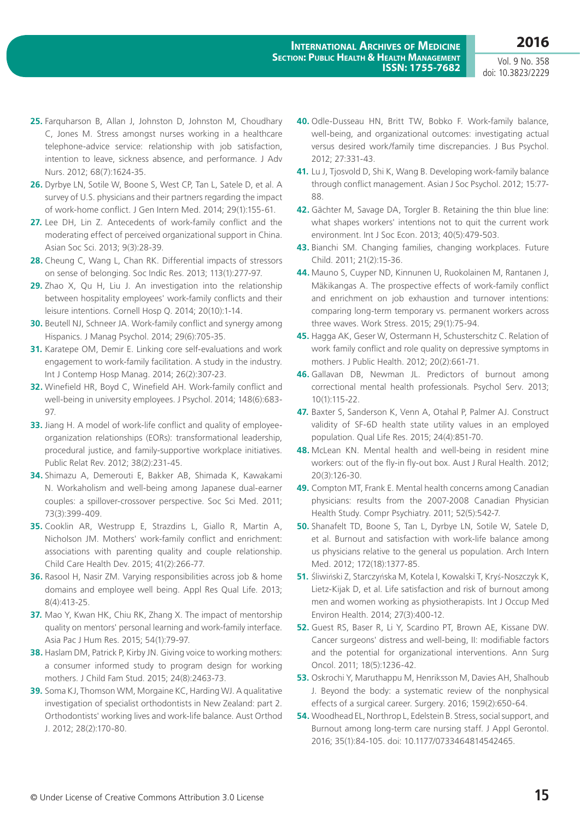- **25.** Farquharson B, Allan J, Johnston D, Johnston M, Choudhary C, Jones M. Stress amongst nurses working in a healthcare telephone-advice service: relationship with job satisfaction, intention to leave, sickness absence, and performance. J Adv Nurs. 2012; 68(7):1624-35.
- **26.** Dyrbye LN, Sotile W, Boone S, West CP, Tan L, Satele D, et al. A survey of U.S. physicians and their partners regarding the impact of work-home conflict. J Gen Intern Med. 2014; 29(1):155-61.
- **27.** Lee DH, Lin Z. Antecedents of work-family conflict and the moderating effect of perceived organizational support in China. Asian Soc Sci. 2013; 9(3):28-39.
- **28.** Cheung C, Wang L, Chan RK. Differential impacts of stressors on sense of belonging. Soc Indic Res. 2013; 113(1):277-97.
- **29.** Zhao X, Qu H, Liu J. An investigation into the relationship between hospitality employees' work-family conflicts and their leisure intentions. Cornell Hosp Q. 2014; 20(10):1-14.
- **30.** Beutell NJ, Schneer JA. Work-family conflict and synergy among Hispanics. J Manag Psychol. 2014; 29(6):705-35.
- **31.** Karatepe OM, Demir E. Linking core self-evaluations and work engagement to work-family facilitation. A study in the industry. Int J Contemp Hosp Manag. 2014; 26(2):307-23.
- **32.** Winefield HR, Boyd C, Winefield AH. Work-family conflict and well-being in university employees. J Psychol. 2014; 148(6):683- 97.
- **33.** Jiang H. A model of work-life conflict and quality of employeeorganization relationships (EORs): transformational leadership, procedural justice, and family-supportive workplace initiatives. Public Relat Rev. 2012; 38(2):231-45.
- **34.** Shimazu A, Demerouti E, Bakker AB, Shimada K, Kawakami N. Workaholism and well-being among Japanese dual-earner couples: a spillover-crossover perspective. Soc Sci Med. 2011; 73(3):399-409.
- **35.** Cooklin AR, Westrupp E, Strazdins L, Giallo R, Martin A, Nicholson JM. Mothers' work-family conflict and enrichment: associations with parenting quality and couple relationship. Child Care Health Dev. 2015; 41(2):266-77.
- **36.** Rasool H, Nasir ZM. Varying responsibilities across job & home domains and employee well being. Appl Res Qual Life. 2013; 8(4):413-25.
- **37.** Mao Y, Kwan HK, Chiu RK, Zhang X. The impact of mentorship quality on mentors' personal learning and work-family interface. Asia Pac J Hum Res. 2015; 54(1):79-97.
- **38.** Haslam DM, Patrick P, Kirby JN. Giving voice to working mothers: a consumer informed study to program design for working mothers. J Child Fam Stud. 2015; 24(8):2463-73.
- **39.** Soma KJ, Thomson WM, Morgaine KC, Harding WJ. A qualitative investigation of specialist orthodontists in New Zealand: part 2. Orthodontists' working lives and work-life balance. Aust Orthod J. 2012; 28(2):170-80.
- **40.** Odle-Dusseau HN, Britt TW, Bobko F. Work-family balance, well-being, and organizational outcomes: investigating actual versus desired work/family time discrepancies. J Bus Psychol. 2012; 27:331-43.
- **41.** Lu J, Tjosvold D, Shi K, Wang B. Developing work-family balance through conflict management. Asian J Soc Psychol. 2012; 15:77- 88.
- **42.** Gächter M, Savage DA, Torgler B. Retaining the thin blue line: what shapes workers' intentions not to quit the current work environment. Int J Soc Econ. 2013; 40(5):479-503.
- **43.** Bianchi SM. Changing families, changing workplaces. Future Child. 2011; 21(2):15-36.
- **44.** Mauno S, Cuyper ND, Kinnunen U, Ruokolainen M, Rantanen J, Mäkikangas A. The prospective effects of work-family conflict and enrichment on job exhaustion and turnover intentions: comparing long-term temporary vs. permanent workers across three waves. Work Stress. 2015; 29(1):75-94.
- **45.** Hagga AK, Geser W, Ostermann H, Schusterschitz C. Relation of work family conflict and role quality on depressive symptoms in mothers. J Public Health. 2012; 20(2):661-71.
- **46.** Gallavan DB, Newman JL. Predictors of burnout among correctional mental health professionals. Psychol Serv. 2013; 10(1):115-22.
- **47.** Baxter S, Sanderson K, Venn A, Otahal P, Palmer AJ. Construct validity of SF-6D health state utility values in an employed population. Qual Life Res. 2015; 24(4):851-70.
- **48.** McLean KN. Mental health and well-being in resident mine workers: out of the fly-in fly-out box. Aust J Rural Health. 2012; 20(3):126-30.
- **49.** Compton MT, Frank E. Mental health concerns among Canadian physicians: results from the 2007-2008 Canadian Physician Health Study. Compr Psychiatry. 2011; 52(5):542-7.
- **50.** Shanafelt TD, Boone S, Tan L, Dyrbye LN, Sotile W, Satele D, et al. Burnout and satisfaction with work-life balance among us physicians relative to the general us population. Arch Intern Med. 2012; 172(18):1377-85.
- **51.** Śliwiński Z, Starczyńska M, Kotela I, Kowalski T, Kryś-Noszczyk K, Lietz-Kijak D, et al. Life satisfaction and risk of burnout among men and women working as physiotherapists. Int J Occup Med Environ Health. 2014; 27(3):400-12.
- **52.** Guest RS, Baser R, Li Y, Scardino PT, Brown AE, Kissane DW. Cancer surgeons' distress and well-being, II: modifiable factors and the potential for organizational interventions. Ann Surg Oncol. 2011; 18(5):1236-42.
- **53.** Oskrochi Y, Maruthappu M, Henriksson M, Davies AH, Shalhoub J. Beyond the body: a systematic review of the nonphysical effects of a surgical career. Surgery. 2016; 159(2):650-64.
- **54.** Woodhead EL, Northrop L, Edelstein B. Stress, social support, and Burnout among long-term care nursing staff. J Appl Gerontol. 2016; 35(1):84-105. doi: 10.1177/0733464814542465.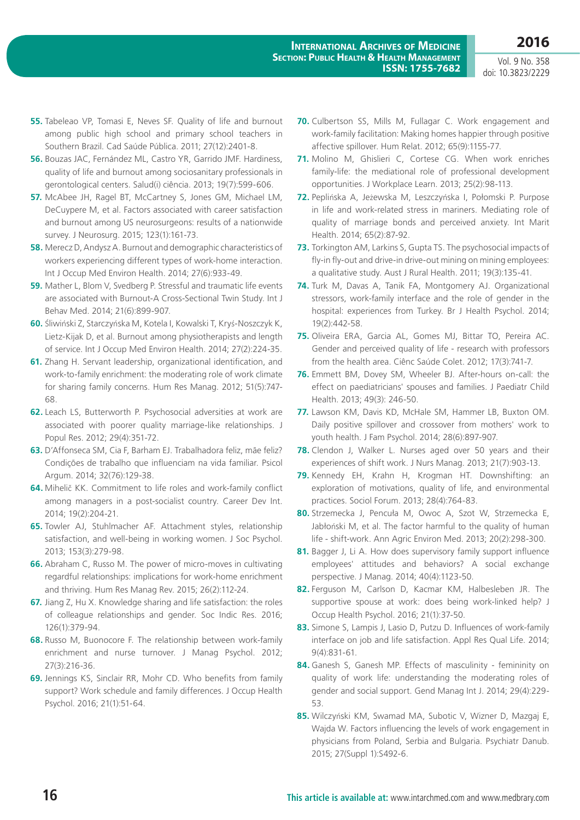- **55.** Tabeleao VP, Tomasi E, Neves SF. Quality of life and burnout among public high school and primary school teachers in Southern Brazil. Cad Saúde Pública. 2011; 27(12):2401-8.
- **56.** Bouzas JAC, Fernández ML, Castro YR, Garrido JMF. Hardiness, quality of life and burnout among sociosanitary professionals in gerontological centers. Salud(i) ciência. 2013; 19(7):599-606.
- **57.** McAbee JH, Ragel BT, McCartney S, Jones GM, Michael LM, DeCuypere M, et al. Factors associated with career satisfaction and burnout among US neurosurgeons: results of a nationwide survey. J Neurosurg. 2015; 123(1):161-73.
- **58.** Merecz D, Andysz A. Burnout and demographic characteristics of workers experiencing different types of work-home interaction. Int J Occup Med Environ Health. 2014; 27(6):933-49.
- **59.** Mather L, Blom V, Svedberg P. Stressful and traumatic life events are associated with Burnout-A Cross-Sectional Twin Study. Int J Behav Med. 2014; 21(6):899-907.
- **60.** Śliwiński Z, Starczyńska M, Kotela I, Kowalski T, Kryś-Noszczyk K, Lietz-Kijak D, et al. Burnout among physiotherapists and length of service. Int J Occup Med Environ Health. 2014; 27(2):224-35.
- **61.** Zhang H. Servant leadership, organizational identification, and work-to-family enrichment: the moderating role of work climate for sharing family concerns. Hum Res Manag. 2012; 51(5):747- 68.
- **62.** Leach LS, Butterworth P. Psychosocial adversities at work are associated with poorer quality marriage-like relationships. J Popul Res. 2012; 29(4):351-72.
- **63.** D'Affonseca SM, Cia F, Barham EJ. Trabalhadora feliz, mãe feliz? Condições de trabalho que influenciam na vida familiar. Psicol Argum. 2014; 32(76):129-38.
- **64.** Mihelič KK. Commitment to life roles and work-family conflict among managers in a post-socialist country. Career Dev Int. 2014; 19(2):204-21.
- **65.** Towler AJ, Stuhlmacher AF. Attachment styles, relationship satisfaction, and well-being in working women. J Soc Psychol. 2013; 153(3):279-98.
- **66.** Abraham C, Russo M. The power of micro-moves in cultivating regardful relationships: implications for work-home enrichment and thriving. Hum Res Manag Rev. 2015; 26(2):112-24.
- **67.** Jiang Z, Hu X. Knowledge sharing and life satisfaction: the roles of colleague relationships and gender. Soc Indic Res. 2016; 126(1):379-94.
- **68.** Russo M, Buonocore F. The relationship between work-family enrichment and nurse turnover. J Manag Psychol. 2012; 27(3):216-36.
- **69.** Jennings KS, Sinclair RR, Mohr CD. Who benefits from family support? Work schedule and family differences. J Occup Health Psychol. 2016; 21(1):51-64.
- **70.** Culbertson SS, Mills M, Fullagar C. Work engagement and work-family facilitation: Making homes happier through positive affective spillover. Hum Relat. 2012; 65(9):1155-77.
- **71.** Molino M, Ghislieri C, Cortese CG. When work enriches family-life: the mediational role of professional development opportunities. J Workplace Learn. 2013; 25(2):98-113.
- **72.** Peplińska A, Jeżewska M, Leszczyńska I, Połomski P. Purpose in life and work-related stress in mariners. Mediating role of quality of marriage bonds and perceived anxiety. Int Marit Health. 2014; 65(2):87-92.
- **73.** Torkington AM, Larkins S, Gupta TS. The psychosocial impacts of fly-in fly-out and drive-in drive-out mining on mining employees: a qualitative study. Aust J Rural Health. 2011; 19(3):135-41.
- **74.** Turk M, Davas A, Tanik FA, Montgomery AJ. Organizational stressors, work-family interface and the role of gender in the hospital: experiences from Turkey. Br J Health Psychol. 2014; 19(2):442-58.
- **75.** Oliveira ERA, Garcia AL, Gomes MJ, Bittar TO, Pereira AC. Gender and perceived quality of life - research with professors from the health area. Ciênc Saúde Colet. 2012; 17(3):741-7.
- **76.** Emmett BM, Dovey SM, Wheeler BJ. After-hours on-call: the effect on paediatricians' spouses and families. J Paediatr Child Health. 2013; 49(3): 246-50.
- **77.** Lawson KM, Davis KD, McHale SM, Hammer LB, Buxton OM. Daily positive spillover and crossover from mothers' work to youth health. J Fam Psychol. 2014; 28(6):897-907.
- **78.** Clendon J, Walker L. Nurses aged over 50 years and their experiences of shift work. J Nurs Manag. 2013; 21(7):903-13.
- **79.** Kennedy EH, Krahn H, Krogman HT. Downshifting: an exploration of motivations, quality of life, and environmental practices. Sociol Forum. 2013; 28(4):764-83.
- **80.** Strzemecka J, Pencuła M, Owoc A, Szot W, Strzemecka E, Jabłoński M, et al. The factor harmful to the quality of human life - shift-work. Ann Agric Environ Med. 2013; 20(2):298-300.
- 81. Bagger J, Li A. How does supervisory family support influence employees' attitudes and behaviors? A social exchange perspective. J Manag. 2014; 40(4):1123-50.
- **82.** Ferguson M, Carlson D, Kacmar KM, Halbesleben JR. The supportive spouse at work: does being work-linked help? J Occup Health Psychol. 2016; 21(1):37-50.
- **83.** Simone S, Lampis J, Lasio D, Putzu D. Influences of work-family interface on job and life satisfaction. Appl Res Qual Life. 2014; 9(4):831-61.
- 84. Ganesh S, Ganesh MP. Effects of masculinity femininity on quality of work life: understanding the moderating roles of gender and social support. Gend Manag Int J. 2014; 29(4):229- 53.
- **85.** Wilczyński KM, Swamad MA, Subotic V, Wizner D, Mazgaj E, Wajda W. Factors influencing the levels of work engagement in physicians from Poland, Serbia and Bulgaria. Psychiatr Danub. 2015; 27(Suppl 1):S492-6.